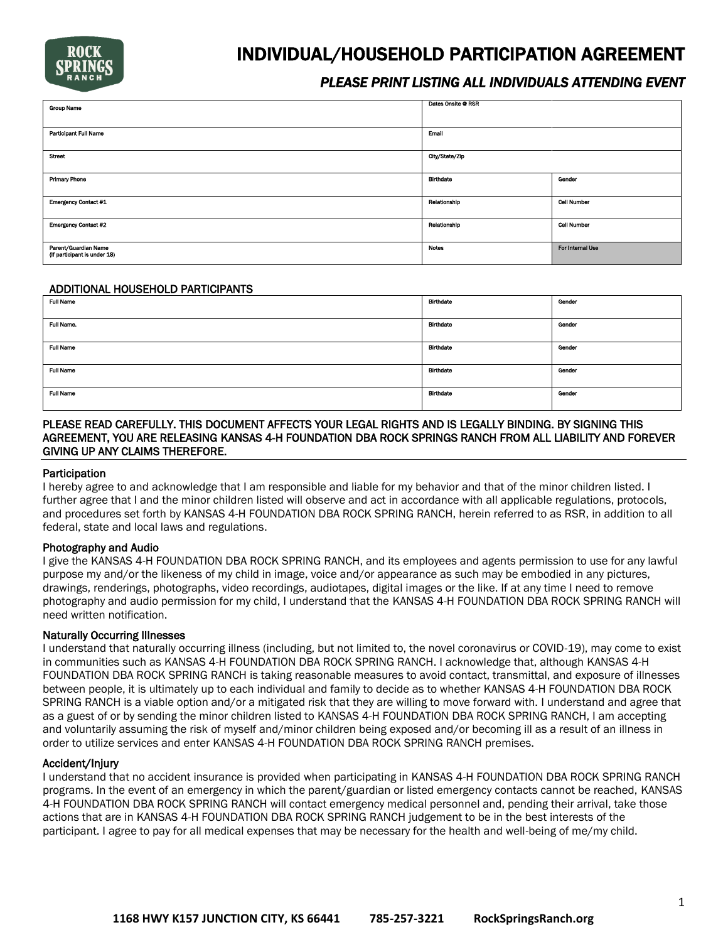

# INDIVIDUAL/HOUSEHOLD PARTICIPATION AGREEMENT

# *PLEASE PRINT LISTING ALL INDIVIDUALS ATTENDING EVENT*

| <b>Group Name</b>                                    | Dates Onsite @ RSR |                    |
|------------------------------------------------------|--------------------|--------------------|
| Participant Full Name                                | Email              |                    |
| Street                                               | City/State/Zip     |                    |
| <b>Primary Phone</b>                                 | Birthdate          | Gender             |
| <b>Emergency Contact #1</b>                          | Relationship       | <b>Cell Number</b> |
| <b>Emergency Contact #2</b>                          | Relationship       | <b>Cell Number</b> |
| Parent/Guardian Name<br>(If participant is under 18) | Notes              | For Internal Use   |

#### ADDITIONAL HOUSEHOLD PARTICIPANTS

| ADDITIONAL HOUSEHOLD PARTICIPANTS |                  |        |
|-----------------------------------|------------------|--------|
| <b>Full Name</b>                  | <b>Birthdate</b> | Gender |
|                                   |                  |        |
| Full Name.                        | Birthdate        | Gender |
|                                   |                  |        |
| <b>Full Name</b>                  | Birthdate        | Gender |
| <b>Full Name</b>                  | <b>Birthdate</b> | Gender |
| <b>Full Name</b>                  | <b>Birthdate</b> | Gender |

### PLEASE READ CAREFULLY. THIS DOCUMENT AFFECTS YOUR LEGAL RIGHTS AND IS LEGALLY BINDING. BY SIGNING THIS AGREEMENT, YOU ARE RELEASING KANSAS 4-H FOUNDATION DBA ROCK SPRINGS RANCH FROM ALL LIABILITY AND FOREVER GIVING UP ANY CLAIMS THEREFORE.

#### **Participation**

I hereby agree to and acknowledge that I am responsible and liable for my behavior and that of the minor children listed. I further agree that I and the minor children listed will observe and act in accordance with all applicable regulations, protocols, and procedures set forth by KANSAS 4-H FOUNDATION DBA ROCK SPRING RANCH, herein referred to as RSR, in addition to all federal, state and local laws and regulations.

#### Photography and Audio

I give the KANSAS 4-H FOUNDATION DBA ROCK SPRING RANCH, and its employees and agents permission to use for any lawful purpose my and/or the likeness of my child in image, voice and/or appearance as such may be embodied in any pictures, drawings, renderings, photographs, video recordings, audiotapes, digital images or the like. If at any time I need to remove photography and audio permission for my child, I understand that the KANSAS 4-H FOUNDATION DBA ROCK SPRING RANCH will need written notification.

# Naturally Occurring Illnesses

I understand that naturally occurring illness (including, but not limited to, the novel coronavirus or COVID-19), may come to exist in communities such as KANSAS 4-H FOUNDATION DBA ROCK SPRING RANCH. I acknowledge that, although KANSAS 4-H FOUNDATION DBA ROCK SPRING RANCH is taking reasonable measures to avoid contact, transmittal, and exposure of illnesses between people, it is ultimately up to each individual and family to decide as to whether KANSAS 4-H FOUNDATION DBA ROCK SPRING RANCH is a viable option and/or a mitigated risk that they are willing to move forward with. I understand and agree that as a guest of or by sending the minor children listed to KANSAS 4-H FOUNDATION DBA ROCK SPRING RANCH, I am accepting and voluntarily assuming the risk of myself and/minor children being exposed and/or becoming ill as a result of an illness in order to utilize services and enter KANSAS 4-H FOUNDATION DBA ROCK SPRING RANCH premises.

#### Accident/Injury

I understand that no accident insurance is provided when participating in KANSAS 4-H FOUNDATION DBA ROCK SPRING RANCH programs. In the event of an emergency in which the parent/guardian or listed emergency contacts cannot be reached, KANSAS 4-H FOUNDATION DBA ROCK SPRING RANCH will contact emergency medical personnel and, pending their arrival, take those actions that are in KANSAS 4-H FOUNDATION DBA ROCK SPRING RANCH judgement to be in the best interests of the participant. I agree to pay for all medical expenses that may be necessary for the health and well-being of me/my child.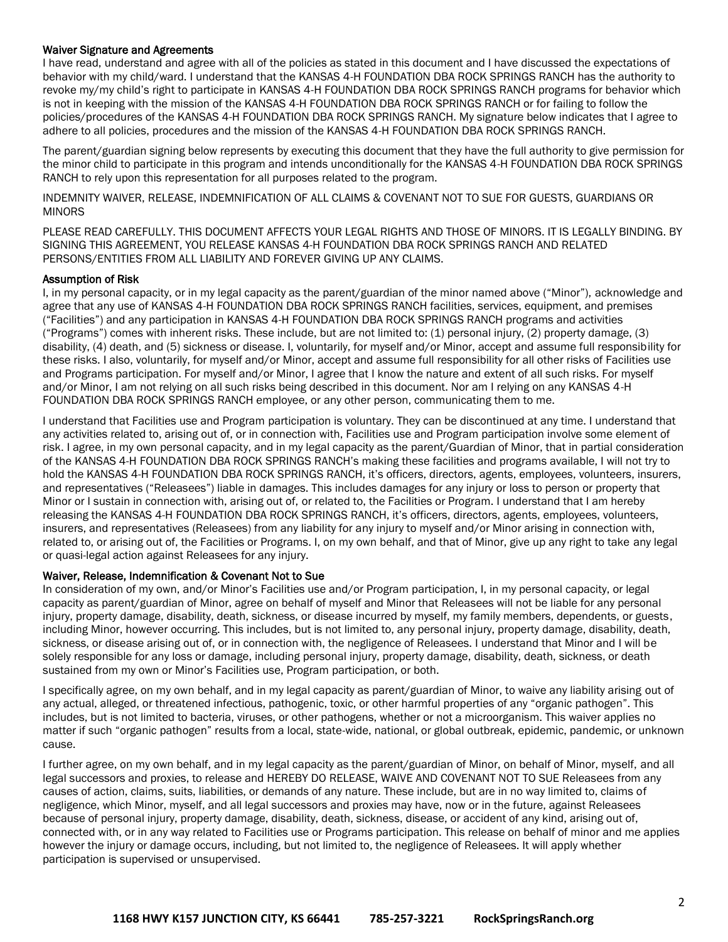### Waiver Signature and Agreements

I have read, understand and agree with all of the policies as stated in this document and I have discussed the expectations of behavior with my child/ward. I understand that the KANSAS 4-H FOUNDATION DBA ROCK SPRINGS RANCH has the authority to revoke my/my child's right to participate in KANSAS 4-H FOUNDATION DBA ROCK SPRINGS RANCH programs for behavior which is not in keeping with the mission of the KANSAS 4-H FOUNDATION DBA ROCK SPRINGS RANCH or for failing to follow the policies/procedures of the KANSAS 4-H FOUNDATION DBA ROCK SPRINGS RANCH. My signature below indicates that I agree to adhere to all policies, procedures and the mission of the KANSAS 4-H FOUNDATION DBA ROCK SPRINGS RANCH.

The parent/guardian signing below represents by executing this document that they have the full authority to give permission for the minor child to participate in this program and intends unconditionally for the KANSAS 4-H FOUNDATION DBA ROCK SPRINGS RANCH to rely upon this representation for all purposes related to the program.

INDEMNITY WAIVER, RELEASE, INDEMNIFICATION OF ALL CLAIMS & COVENANT NOT TO SUE FOR GUESTS, GUARDIANS OR MINORS

PLEASE READ CAREFULLY. THIS DOCUMENT AFFECTS YOUR LEGAL RIGHTS AND THOSE OF MINORS. IT IS LEGALLY BINDING. BY SIGNING THIS AGREEMENT, YOU RELEASE KANSAS 4-H FOUNDATION DBA ROCK SPRINGS RANCH AND RELATED PERSONS/ENTITIES FROM ALL LIABILITY AND FOREVER GIVING UP ANY CLAIMS.

#### Assumption of Risk

I, in my personal capacity, or in my legal capacity as the parent/guardian of the minor named above ("Minor"), acknowledge and agree that any use of KANSAS 4-H FOUNDATION DBA ROCK SPRINGS RANCH facilities, services, equipment, and premises ("Facilities") and any participation in KANSAS 4-H FOUNDATION DBA ROCK SPRINGS RANCH programs and activities ("Programs") comes with inherent risks. These include, but are not limited to: (1) personal injury, (2) property damage, (3) disability, (4) death, and (5) sickness or disease. I, voluntarily, for myself and/or Minor, accept and assume full responsibility for these risks. I also, voluntarily, for myself and/or Minor, accept and assume full responsibility for all other risks of Facilities use and Programs participation. For myself and/or Minor, I agree that I know the nature and extent of all such risks. For myself and/or Minor, I am not relying on all such risks being described in this document. Nor am I relying on any KANSAS 4-H FOUNDATION DBA ROCK SPRINGS RANCH employee, or any other person, communicating them to me.

I understand that Facilities use and Program participation is voluntary. They can be discontinued at any time. I understand that any activities related to, arising out of, or in connection with, Facilities use and Program participation involve some element of risk. I agree, in my own personal capacity, and in my legal capacity as the parent/Guardian of Minor, that in partial consideration of the KANSAS 4-H FOUNDATION DBA ROCK SPRINGS RANCH's making these facilities and programs available, I will not try to hold the KANSAS 4-H FOUNDATION DBA ROCK SPRINGS RANCH, it's officers, directors, agents, employees, volunteers, insurers, and representatives ("Releasees") liable in damages. This includes damages for any injury or loss to person or property that Minor or I sustain in connection with, arising out of, or related to, the Facilities or Program. I understand that I am hereby releasing the KANSAS 4-H FOUNDATION DBA ROCK SPRINGS RANCH, it's officers, directors, agents, employees, volunteers, insurers, and representatives (Releasees) from any liability for any injury to myself and/or Minor arising in connection with, related to, or arising out of, the Facilities or Programs. I, on my own behalf, and that of Minor, give up any right to take any legal or quasi-legal action against Releasees for any injury.

# Waiver, Release, Indemnification & Covenant Not to Sue

In consideration of my own, and/or Minor's Facilities use and/or Program participation, I, in my personal capacity, or legal capacity as parent/guardian of Minor, agree on behalf of myself and Minor that Releasees will not be liable for any personal injury, property damage, disability, death, sickness, or disease incurred by myself, my family members, dependents, or guests, including Minor, however occurring. This includes, but is not limited to, any personal injury, property damage, disability, death, sickness, or disease arising out of, or in connection with, the negligence of Releasees. I understand that Minor and I will be solely responsible for any loss or damage, including personal injury, property damage, disability, death, sickness, or death sustained from my own or Minor's Facilities use, Program participation, or both.

I specifically agree, on my own behalf, and in my legal capacity as parent/guardian of Minor, to waive any liability arising out of any actual, alleged, or threatened infectious, pathogenic, toxic, or other harmful properties of any "organic pathogen". This includes, but is not limited to bacteria, viruses, or other pathogens, whether or not a microorganism. This waiver applies no matter if such "organic pathogen" results from a local, state-wide, national, or global outbreak, epidemic, pandemic, or unknown cause.

I further agree, on my own behalf, and in my legal capacity as the parent/guardian of Minor, on behalf of Minor, myself, and all legal successors and proxies, to release and HEREBY DO RELEASE, WAIVE AND COVENANT NOT TO SUE Releasees from any causes of action, claims, suits, liabilities, or demands of any nature. These include, but are in no way limited to, claims of negligence, which Minor, myself, and all legal successors and proxies may have, now or in the future, against Releasees because of personal injury, property damage, disability, death, sickness, disease, or accident of any kind, arising out of, connected with, or in any way related to Facilities use or Programs participation. This release on behalf of minor and me applies however the injury or damage occurs, including, but not limited to, the negligence of Releasees. It will apply whether participation is supervised or unsupervised.